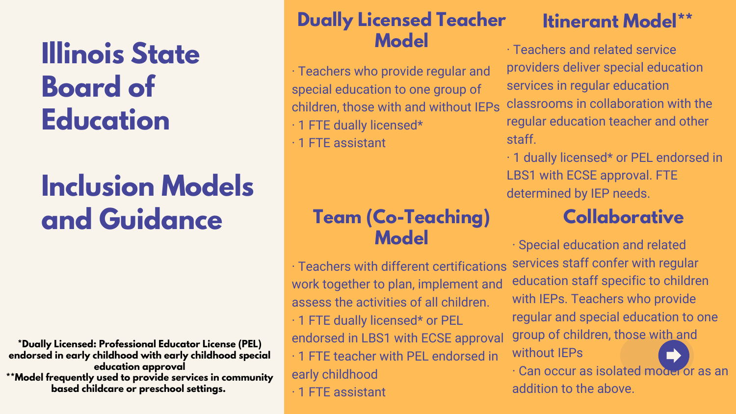# **Illinois State Board of Education**

## **Inclusion Models and Guidance**

· Teachers who provide regular and special education to one group of children, those with and without IEPs · 1 FTE dually licensed\*

#### **Dually Licensed Teacher Model Itinerant Model\*\***

· 1 FTE assistant

· Teachers and related service providers deliver special education services in regular education classrooms in collaboration with the regular education teacher and other staff.

· 1 dually licensed\* or PEL endorsed in LBS1 with ECSE approval. FTE determined by IEP needs.

## **Team (Co-Teaching) Model**

## **Collaborative**

· Teachers with different certifications work together to plan, implement and assess the activities of all children. · 1 FTE dually licensed\* or PEL endorsed in LBS1 with ECSE approval · 1 FTE teacher with PEL endorsed in early childhood · 1 FTE assistant · Special education and related services staff confer with regular education staff specific to children with IEPs. Teachers who provide regular and special education to one group of children, those with and without IEPs · Can occur as isolated model or as an addition to the above.

**\*Dually Licensed: Professional Educator License (PEL) endorsed in early childhood with early childhood special education approval \*\*Model frequently used to provide services in community based childcare or preschool settings.**